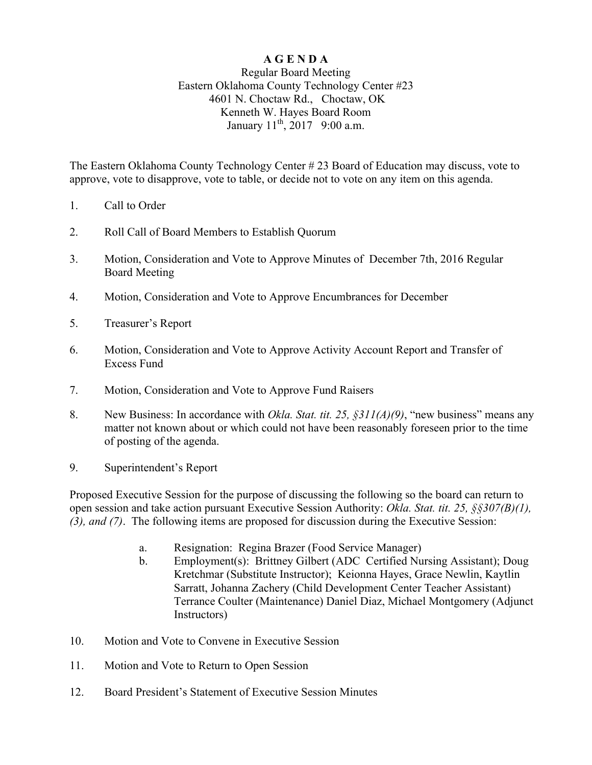## **A G E N D A**

## Regular Board Meeting Eastern Oklahoma County Technology Center #23 4601 N. Choctaw Rd., Choctaw, OK Kenneth W. Hayes Board Room January  $11^{th}$ ,  $2017$  9:00 a.m.

The Eastern Oklahoma County Technology Center # 23 Board of Education may discuss, vote to approve, vote to disapprove, vote to table, or decide not to vote on any item on this agenda.

- 1. Call to Order
- 2. Roll Call of Board Members to Establish Quorum
- 3. Motion, Consideration and Vote to Approve Minutes of December 7th, 2016 Regular Board Meeting
- 4. Motion, Consideration and Vote to Approve Encumbrances for December
- 5. Treasurer's Report
- 6. Motion, Consideration and Vote to Approve Activity Account Report and Transfer of Excess Fund
- 7. Motion, Consideration and Vote to Approve Fund Raisers
- 8. New Business: In accordance with *Okla. Stat. tit. 25, §311(A)(9)*, "new business" means any matter not known about or which could not have been reasonably foreseen prior to the time of posting of the agenda.
- 9. Superintendent's Report

Proposed Executive Session for the purpose of discussing the following so the board can return to open session and take action pursuant Executive Session Authority: *Okla. Stat. tit. 25, §§307(B)(1), (3), and (7)*. The following items are proposed for discussion during the Executive Session:

- a. Resignation: Regina Brazer (Food Service Manager)
- b. Employment(s): Brittney Gilbert (ADC Certified Nursing Assistant); Doug Kretchmar (Substitute Instructor); Keionna Hayes, Grace Newlin, Kaytlin Sarratt, Johanna Zachery (Child Development Center Teacher Assistant) Terrance Coulter (Maintenance) Daniel Diaz, Michael Montgomery (Adjunct Instructors)
- 10. Motion and Vote to Convene in Executive Session
- 11. Motion and Vote to Return to Open Session
- 12. Board President's Statement of Executive Session Minutes